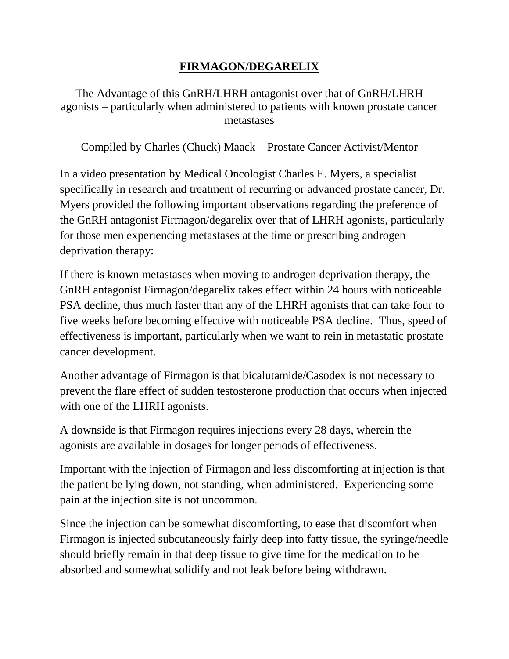# **FIRMAGON/DEGARELIX**

The Advantage of this GnRH/LHRH antagonist over that of GnRH/LHRH agonists – particularly when administered to patients with known prostate cancer metastases

Compiled by Charles (Chuck) Maack – Prostate Cancer Activist/Mentor

In a video presentation by Medical Oncologist Charles E. Myers, a specialist specifically in research and treatment of recurring or advanced prostate cancer, Dr. Myers provided the following important observations regarding the preference of the GnRH antagonist Firmagon/degarelix over that of LHRH agonists, particularly for those men experiencing metastases at the time or prescribing androgen deprivation therapy:

If there is known metastases when moving to androgen deprivation therapy, the GnRH antagonist Firmagon/degarelix takes effect within 24 hours with noticeable PSA decline, thus much faster than any of the LHRH agonists that can take four to five weeks before becoming effective with noticeable PSA decline. Thus, speed of effectiveness is important, particularly when we want to rein in metastatic prostate cancer development.

Another advantage of Firmagon is that bicalutamide/Casodex is not necessary to prevent the flare effect of sudden testosterone production that occurs when injected with one of the LHRH agonists.

A downside is that Firmagon requires injections every 28 days, wherein the agonists are available in dosages for longer periods of effectiveness.

Important with the injection of Firmagon and less discomforting at injection is that the patient be lying down, not standing, when administered. Experiencing some pain at the injection site is not uncommon.

Since the injection can be somewhat discomforting, to ease that discomfort when Firmagon is injected subcutaneously fairly deep into fatty tissue, the syringe/needle should briefly remain in that deep tissue to give time for the medication to be absorbed and somewhat solidify and not leak before being withdrawn.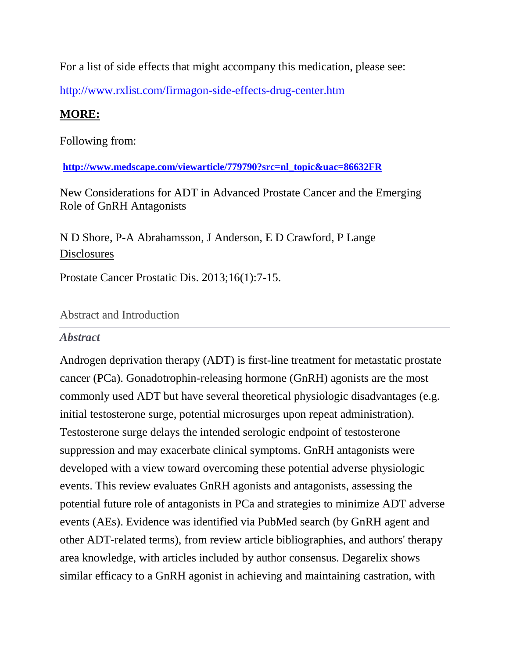For a list of side effects that might accompany this medication, please see:

<http://www.rxlist.com/firmagon-side-effects-drug-center.htm>

# **MORE:**

Following from:

**[http://www.medscape.com/viewarticle/779790?src=nl\\_topic&uac=86632FR](http://www.medscape.com/viewarticle/779790?src=nl_topic&uac=86632FR)**

New Considerations for ADT in Advanced Prostate Cancer and the Emerging Role of GnRH Antagonists

N D Shore, P-A Abrahamsson, J Anderson, E D Crawford, P Lange **[Disclosures](javascript:newshowcontent()** 

Prostate Cancer Prostatic Dis. 2013;16(1):7-15.

# Abstract and Introduction

# *Abstract*

Androgen deprivation therapy (ADT) is first-line treatment for metastatic prostate cancer (PCa). Gonadotrophin-releasing hormone (GnRH) agonists are the most commonly used ADT but have several theoretical physiologic disadvantages (e.g. initial testosterone surge, potential microsurges upon repeat administration). Testosterone surge delays the intended serologic endpoint of testosterone suppression and may exacerbate clinical symptoms. GnRH antagonists were developed with a view toward overcoming these potential adverse physiologic events. This review evaluates GnRH agonists and antagonists, assessing the potential future role of antagonists in PCa and strategies to minimize ADT adverse events (AEs). Evidence was identified via PubMed search (by GnRH agent and other ADT-related terms), from review article bibliographies, and authors' therapy area knowledge, with articles included by author consensus. Degarelix shows similar efficacy to a GnRH agonist in achieving and maintaining castration, with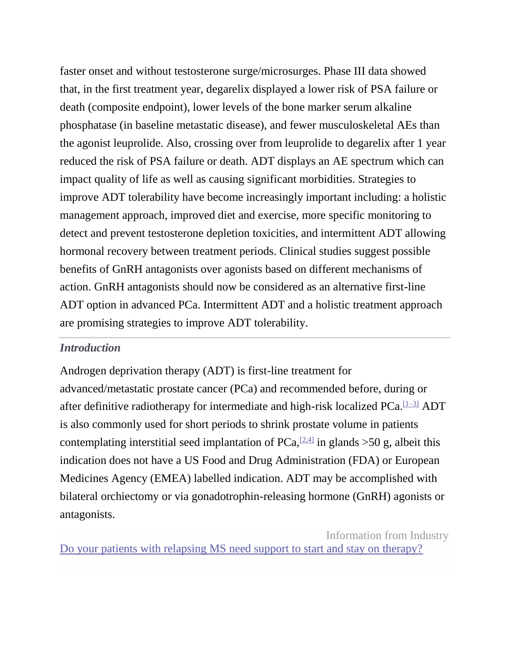faster onset and without testosterone surge/microsurges. Phase III data showed that, in the first treatment year, degarelix displayed a lower risk of PSA failure or death (composite endpoint), lower levels of the bone marker serum alkaline phosphatase (in baseline metastatic disease), and fewer musculoskeletal AEs than the agonist leuprolide. Also, crossing over from leuprolide to degarelix after 1 year reduced the risk of PSA failure or death. ADT displays an AE spectrum which can impact quality of life as well as causing significant morbidities. Strategies to improve ADT tolerability have become increasingly important including: a holistic management approach, improved diet and exercise, more specific monitoring to detect and prevent testosterone depletion toxicities, and intermittent ADT allowing hormonal recovery between treatment periods. Clinical studies suggest possible benefits of GnRH antagonists over agonists based on different mechanisms of action. GnRH antagonists should now be considered as an alternative first-line ADT option in advanced PCa. Intermittent ADT and a holistic treatment approach are promising strategies to improve ADT tolerability.

#### *Introduction*

Androgen deprivation therapy (ADT) is first-line treatment for advanced/metastatic prostate cancer (PCa) and recommended before, during or after definitive radiotherapy for intermediate and high-risk localized  $PCa$ .  $[1-3]$  ADT is also commonly used for short periods to shrink prostate volume in patients contemplating interstitial seed implantation of PCa, $[2,4]$  in glands >50 g, albeit this indication does not have a US Food and Drug Administration (FDA) or European Medicines Agency (EMEA) labelled indication. ADT may be accomplished with bilateral orchiectomy or via gonadotrophin-releasing hormone (GnRH) agonists or antagonists.

Information from Industry [Do your patients with relapsing MS need support to start and stay on therapy?](http://as.webmd.com/event.ng/Type=click&FlightID=453712&AdID=770335&TargetID=125826&Values=60,72,81,91,145,150,205,208,222,229,234,236,249,308,309,430,662,1469,1963,2019,2472,3175,3187,3361,3435,3438,6844,7187,13461,13842,13858,14125,14128,14130,15191,18257,20184,20448,20835,24345,25586,26513,31020,31795,31913,31922,41363,43128,49066,49544,53316,53875&Redirect=http:/www.medscape.com/infosite/rebif/article-4?src=ad_txt)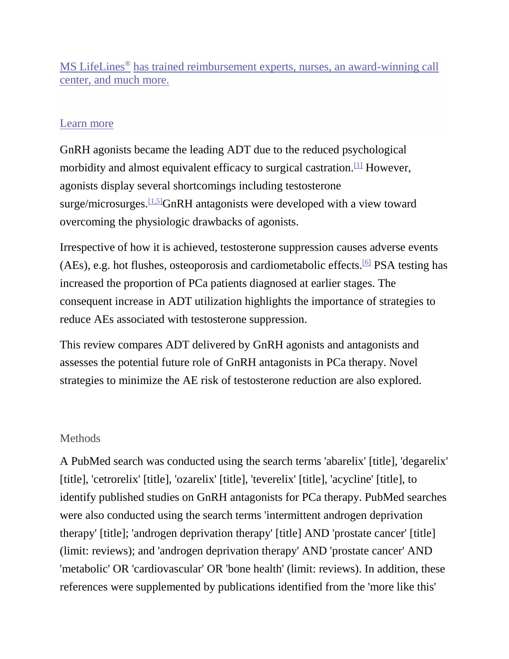MS LifeLines® [has trained reimbursement experts, nurses, an award-winning call](http://as.webmd.com/event.ng/Type=click&FlightID=453712&AdID=770335&TargetID=125826&Values=60,72,81,91,145,150,205,208,222,229,234,236,249,308,309,430,662,1469,1963,2019,2472,3175,3187,3361,3435,3438,6844,7187,13461,13842,13858,14125,14128,14130,15191,18257,20184,20448,20835,24345,25586,26513,31020,31795,31913,31922,41363,43128,49066,49544,53316,53875&Redirect=http:/www.medscape.com/infosite/rebif/article-4?src=ad_txt)  [center, and much more.](http://as.webmd.com/event.ng/Type=click&FlightID=453712&AdID=770335&TargetID=125826&Values=60,72,81,91,145,150,205,208,222,229,234,236,249,308,309,430,662,1469,1963,2019,2472,3175,3187,3361,3435,3438,6844,7187,13461,13842,13858,14125,14128,14130,15191,18257,20184,20448,20835,24345,25586,26513,31020,31795,31913,31922,41363,43128,49066,49544,53316,53875&Redirect=http:/www.medscape.com/infosite/rebif/article-4?src=ad_txt)

### [Learn more](http://as.webmd.com/event.ng/Type=click&FlightID=453712&AdID=770335&TargetID=125826&Values=60,72,81,91,145,150,205,208,222,229,234,236,249,308,309,430,662,1469,1963,2019,2472,3175,3187,3361,3435,3438,6844,7187,13461,13842,13858,14125,14128,14130,15191,18257,20184,20448,20835,24345,25586,26513,31020,31795,31913,31922,41363,43128,49066,49544,53316,53875&Redirect=http:/www.medscape.com/infosite/rebif/article-4?src=ad_txt)

GnRH agonists became the leading ADT due to the reduced psychological morbidity and almost equivalent efficacy to surgical castration.<sup>[\[1\]](javascript:newshowcontent()</sup> However, agonists display several shortcomings including testosterone surge/microsurges.<sup>[\[1,5\]](javascript:newshowcontent()</sup>GnRH antagonists were developed with a view toward overcoming the physiologic drawbacks of agonists.

Irrespective of how it is achieved, testosterone suppression causes adverse events (AEs), e.g. hot flushes, osteoporosis and cardiometabolic effects.<sup>[\[6\]](javascript:newshowcontent()</sup> PSA testing has increased the proportion of PCa patients diagnosed at earlier stages. The consequent increase in ADT utilization highlights the importance of strategies to reduce AEs associated with testosterone suppression.

This review compares ADT delivered by GnRH agonists and antagonists and assesses the potential future role of GnRH antagonists in PCa therapy. Novel strategies to minimize the AE risk of testosterone reduction are also explored.

## **Methods**

A PubMed search was conducted using the search terms 'abarelix' [title], 'degarelix' [title], 'cetrorelix' [title], 'ozarelix' [title], 'teverelix' [title], 'acycline' [title], to identify published studies on GnRH antagonists for PCa therapy. PubMed searches were also conducted using the search terms 'intermittent androgen deprivation therapy' [title]; 'androgen deprivation therapy' [title] AND 'prostate cancer' [title] (limit: reviews); and 'androgen deprivation therapy' AND 'prostate cancer' AND 'metabolic' OR 'cardiovascular' OR 'bone health' (limit: reviews). In addition, these references were supplemented by publications identified from the 'more like this'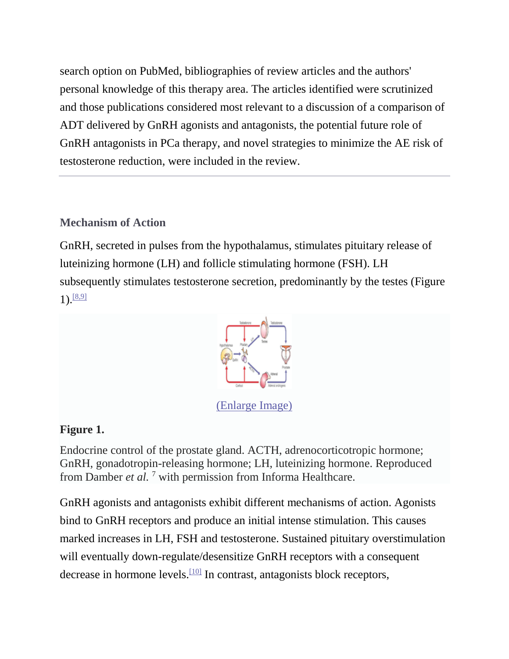search option on PubMed, bibliographies of review articles and the authors' personal knowledge of this therapy area. The articles identified were scrutinized and those publications considered most relevant to a discussion of a comparison of ADT delivered by GnRH agonists and antagonists, the potential future role of GnRH antagonists in PCa therapy, and novel strategies to minimize the AE risk of testosterone reduction, were included in the review.

## **Mechanism of Action**

GnRH, secreted in pulses from the hypothalamus, stimulates pituitary release of luteinizing hormone (LH) and follicle stimulating hormone (FSH). LH subsequently stimulates testosterone secretion, predominantly by the testes (Figure  $1).$ <sup>[\[8,9\]](javascript:newshowcontent()</sup>



[\(Enlarge Image\)](javascript:newshowcontent()

# **Figure 1.**

Endocrine control of the prostate gland. ACTH, adrenocorticotropic hormone; GnRH, gonadotropin-releasing hormone; LH, luteinizing hormone. Reproduced from Damber *et al.* <sup>7</sup> with permission from Informa Healthcare.

GnRH agonists and antagonists exhibit different mechanisms of action. Agonists bind to GnRH receptors and produce an initial intense stimulation. This causes marked increases in LH, FSH and testosterone. Sustained pituitary overstimulation will eventually down-regulate/desensitize GnRH receptors with a consequent decrease in hormone levels.<sup>[\[10\]](javascript:newshowcontent()</sup> In contrast, antagonists block receptors,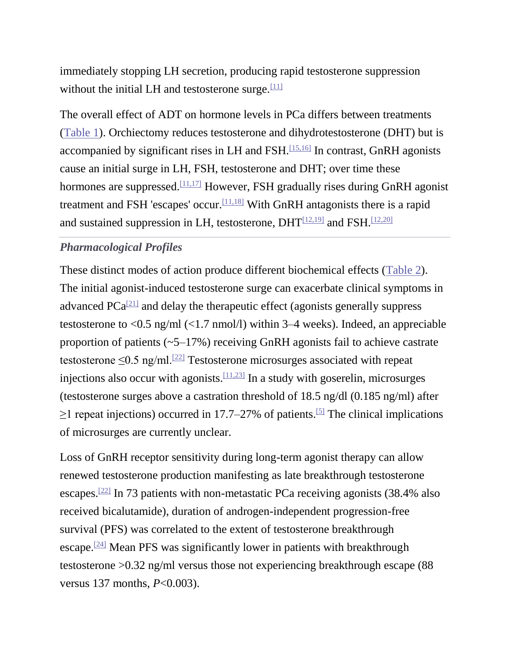immediately stopping LH secretion, producing rapid testosterone suppression without the initial LH and testosterone surge. $[11]$ 

The overall effect of ADT on hormone levels in PCa differs between treatments [\(Table 1\)](javascript:newshowcontent(). Orchiectomy reduces testosterone and dihydrotestosterone (DHT) but is accompanied by significant rises in LH and FSH. $[15,16]$  In contrast, GnRH agonists cause an initial surge in LH, FSH, testosterone and DHT; over time these hormones are suppressed.<sup>[\[11,17\]](javascript:newshowcontent()</sup> However, FSH gradually rises during GnRH agonist treatment and FSH 'escapes' occur.<sup>[\[11,18\]](javascript:newshowcontent()</sup> With GnRH antagonists there is a rapid and sustained suppression in LH, testosterone,  $DHT^{[12,19]}$  $DHT^{[12,19]}$  $DHT^{[12,19]}$  and FSH.<sup>[\[12,20\]](javascript:newshowcontent()</sup>

## *Pharmacological Profiles*

These distinct modes of action produce different biochemical effects [\(Table 2\)](javascript:newshowcontent(). The initial agonist-induced testosterone surge can exacerbate clinical symptoms in advanced  $PCa^{[21]}$  $PCa^{[21]}$  $PCa^{[21]}$  and delay the therapeutic effect (agonists generally suppress testosterone to <0.5 ng/ml (<1.7 nmol/l) within 3–4 weeks). Indeed, an appreciable proportion of patients (~5–17%) receiving GnRH agonists fail to achieve castrate testosterone  $\leq$ 0.5 ng/ml.<sup>[\[22\]](javascript:newshowcontent()</sup> Testosterone microsurges associated with repeat injections also occur with agonists. $[11,23]$  In a study with goserelin, microsurges (testosterone surges above a castration threshold of 18.5 ng/dl (0.185 ng/ml) after  $\geq$ 1 repeat injections) occurred in 17.7–27% of patients.<sup>[\[5\]](javascript:newshowcontent()</sup> The clinical implications of microsurges are currently unclear.

Loss of GnRH receptor sensitivity during long-term agonist therapy can allow renewed testosterone production manifesting as late breakthrough testosterone escapes.[\[22\]](javascript:newshowcontent() In 73 patients with non-metastatic PCa receiving agonists (38.4% also received bicalutamide), duration of androgen-independent progression-free survival (PFS) was correlated to the extent of testosterone breakthrough escape.[\[24\]](javascript:newshowcontent() Mean PFS was significantly lower in patients with breakthrough testosterone >0.32 ng/ml versus those not experiencing breakthrough escape (88 versus 137 months, *P*<0.003).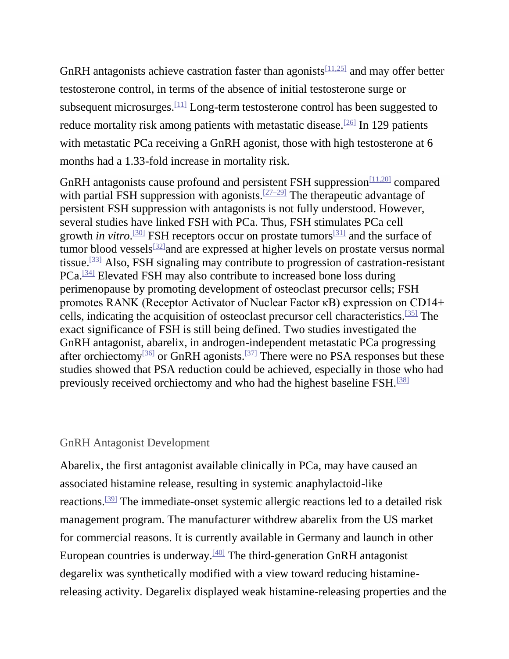GnRH antagonists achieve castration faster than agonists  $[11,25]$  and may offer better testosterone control, in terms of the absence of initial testosterone surge or subsequent microsurges.[\[11\]](javascript:newshowcontent() Long-term testosterone control has been suggested to reduce mortality risk among patients with metastatic disease.<sup>[\[26\]](javascript:newshowcontent()</sup> In 129 patients with metastatic PCa receiving a GnRH agonist, those with high testosterone at 6 months had a 1.33-fold increase in mortality risk.

GnRH antagonists cause profound and persistent FSH suppression  $\frac{[11,20]}{[11,20]}$  $\frac{[11,20]}{[11,20]}$  $\frac{[11,20]}{[11,20]}$  compared with partial FSH suppression with agonists.<sup>[\[27–29\]](javascript:newshowcontent()</sup> The therapeutic advantage of persistent FSH suppression with antagonists is not fully understood. However, several studies have linked FSH with PCa. Thus, FSH stimulates PCa cell growth *in vitro*. [\[30\]](javascript:newshowcontent() FSH receptors occur on prostate tumors[\[31\]](javascript:newshowcontent() and the surface of tumor blood vessels<sup>[\[32\]](javascript:newshowcontent()</sup>and are expressed at higher levels on prostate versus normal tissue.[\[33\]](javascript:newshowcontent() Also, FSH signaling may contribute to progression of castration-resistant PCa.[\[34\]](javascript:newshowcontent() Elevated FSH may also contribute to increased bone loss during perimenopause by promoting development of osteoclast precursor cells; FSH promotes RANK (Receptor Activator of Nuclear Factor κB) expression on CD14+ cells, indicating the acquisition of osteoclast precursor cell characteristics.[\[35\]](javascript:newshowcontent() The exact significance of FSH is still being defined. Two studies investigated the GnRH antagonist, abarelix, in androgen-independent metastatic PCa progressing after orchiectomy<sup>[\[36\]](javascript:newshowcontent()</sup> or GnRH agonists.<sup>[\[37\]](javascript:newshowcontent()</sup> There were no PSA responses but these studies showed that PSA reduction could be achieved, especially in those who had previously received orchiectomy and who had the highest baseline FSH.<sup>[\[38\]](javascript:newshowcontent()</sup>

#### GnRH Antagonist Development

Abarelix, the first antagonist available clinically in PCa, may have caused an associated histamine release, resulting in systemic anaphylactoid-like reactions.[\[39\]](javascript:newshowcontent() The immediate-onset systemic allergic reactions led to a detailed risk management program. The manufacturer withdrew abarelix from the US market for commercial reasons. It is currently available in Germany and launch in other European countries is underway.<sup>[\[40\]](javascript:newshowcontent()</sup> The third-generation GnRH antagonist degarelix was synthetically modified with a view toward reducing histaminereleasing activity. Degarelix displayed weak histamine-releasing properties and the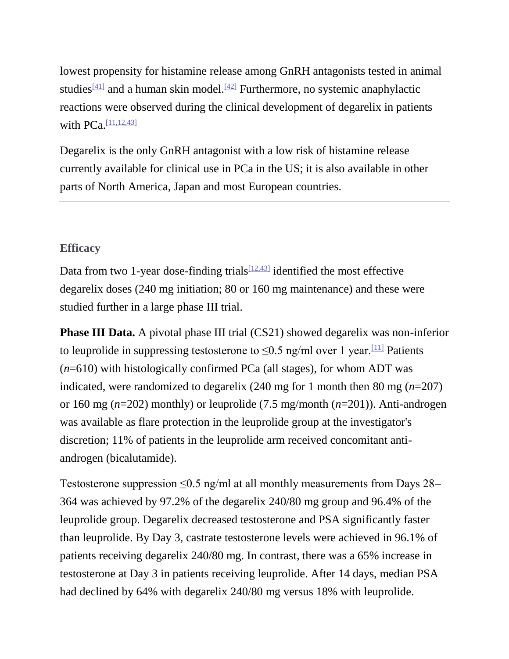lowest propensity for histamine release among GnRH antagonists tested in animal studies<sup>[\[41\]](javascript:newshowcontent()</sup> and a human skin model.<sup>[\[42\]](javascript:newshowcontent()</sup> Furthermore, no systemic anaphylactic reactions were observed during the clinical development of degarelix in patients with PCa.<sup>[\[11,12,43\]](javascript:newshowcontent()</sup>

Degarelix is the only GnRH antagonist with a low risk of histamine release currently available for clinical use in PCa in the US; it is also available in other parts of North America, Japan and most European countries.

## **Efficacy**

Data from two 1-year dose-finding trials  $[12,43]$  identified the most effective degarelix doses (240 mg initiation; 80 or 160 mg maintenance) and these were studied further in a large phase III trial.

**Phase III Data.** A pivotal phase III trial (CS21) showed degarelix was non-inferior to leuprolide in suppressing testosterone to  $\leq 0.5$  ng/ml over 1 year.<sup>[\[11\]](javascript:newshowcontent()</sup> Patients (*n*=610) with histologically confirmed PCa (all stages), for whom ADT was indicated, were randomized to degarelix (240 mg for 1 month then 80 mg (*n*=207) or 160 mg (*n*=202) monthly) or leuprolide (7.5 mg/month (*n*=201)). Anti-androgen was available as flare protection in the leuprolide group at the investigator's discretion; 11% of patients in the leuprolide arm received concomitant antiandrogen (bicalutamide).

Testosterone suppression  $\leq 0.5$  ng/ml at all monthly measurements from Days 28– 364 was achieved by 97.2% of the degarelix 240/80 mg group and 96.4% of the leuprolide group. Degarelix decreased testosterone and PSA significantly faster than leuprolide. By Day 3, castrate testosterone levels were achieved in 96.1% of patients receiving degarelix 240/80 mg. In contrast, there was a 65% increase in testosterone at Day 3 in patients receiving leuprolide. After 14 days, median PSA had declined by 64% with degarelix 240/80 mg versus 18% with leuprolide.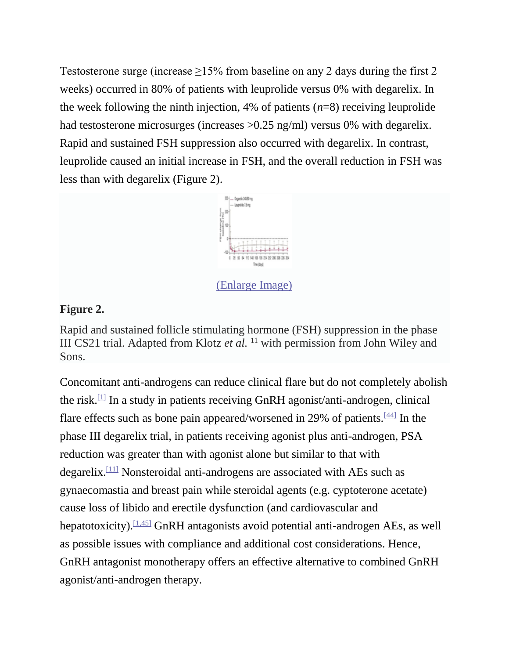Testosterone surge (increase  $\geq$ 15% from baseline on any 2 days during the first 2 weeks) occurred in 80% of patients with leuprolide versus 0% with degarelix. In the week following the ninth injection, 4% of patients (*n*=8) receiving leuprolide had testosterone microsurges (increases >0.25 ng/ml) versus 0% with degarelix. Rapid and sustained FSH suppression also occurred with degarelix. In contrast, leuprolide caused an initial increase in FSH, and the overall reduction in FSH was less than with degarelix (Figure 2).



[\(Enlarge Image\)](javascript:newshowcontent()

### **Figure 2.**

Rapid and sustained follicle stimulating hormone (FSH) suppression in the phase III CS21 trial. Adapted from Klotz *et al.* <sup>11</sup> with permission from John Wiley and Sons.

Concomitant anti-androgens can reduce clinical flare but do not completely abolish the risk.<sup>[\[1\]](javascript:newshowcontent()</sup> In a study in patients receiving GnRH agonist/anti-androgen, clinical flare effects such as bone pain appeared/worsened in 29% of patients.<sup>[\[44\]](javascript:newshowcontent()</sup> In the phase III degarelix trial, in patients receiving agonist plus anti-androgen, PSA reduction was greater than with agonist alone but similar to that with degarelix.[\[11\]](javascript:newshowcontent() Nonsteroidal anti-androgens are associated with AEs such as gynaecomastia and breast pain while steroidal agents (e.g. cyptoterone acetate) cause loss of libido and erectile dysfunction (and cardiovascular and hepatotoxicity). [\[1,45\]](javascript:newshowcontent() GnRH antagonists avoid potential anti-androgen AEs, as well as possible issues with compliance and additional cost considerations. Hence, GnRH antagonist monotherapy offers an effective alternative to combined GnRH agonist/anti-androgen therapy.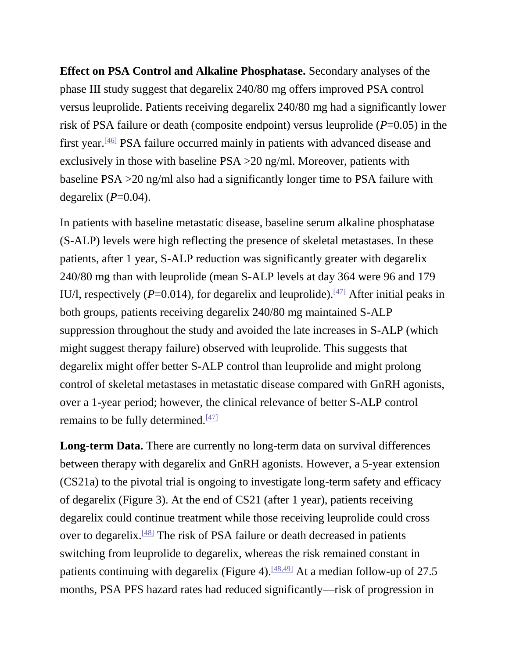**Effect on PSA Control and Alkaline Phosphatase.** Secondary analyses of the phase III study suggest that degarelix 240/80 mg offers improved PSA control versus leuprolide. Patients receiving degarelix 240/80 mg had a significantly lower risk of PSA failure or death (composite endpoint) versus leuprolide (*P*=0.05) in the first year.[\[46\]](javascript:newshowcontent() PSA failure occurred mainly in patients with advanced disease and exclusively in those with baseline PSA >20 ng/ml. Moreover, patients with baseline PSA >20 ng/ml also had a significantly longer time to PSA failure with degarelix  $(P=0.04)$ .

In patients with baseline metastatic disease, baseline serum alkaline phosphatase (S-ALP) levels were high reflecting the presence of skeletal metastases. In these patients, after 1 year, S-ALP reduction was significantly greater with degarelix 240/80 mg than with leuprolide (mean S-ALP levels at day 364 were 96 and 179 IU/l, respectively ( $P=0.014$ ), for degarelix and leuprolide).<sup>[\[47\]](javascript:newshowcontent()</sup> After initial peaks in both groups, patients receiving degarelix 240/80 mg maintained S-ALP suppression throughout the study and avoided the late increases in S-ALP (which might suggest therapy failure) observed with leuprolide. This suggests that degarelix might offer better S-ALP control than leuprolide and might prolong control of skeletal metastases in metastatic disease compared with GnRH agonists, over a 1-year period; however, the clinical relevance of better S-ALP control remains to be fully determined. $\frac{[47]}{[47]}$  $\frac{[47]}{[47]}$  $\frac{[47]}{[47]}$ 

**Long-term Data.** There are currently no long-term data on survival differences between therapy with degarelix and GnRH agonists. However, a 5-year extension (CS21a) to the pivotal trial is ongoing to investigate long-term safety and efficacy of degarelix (Figure 3). At the end of CS21 (after 1 year), patients receiving degarelix could continue treatment while those receiving leuprolide could cross over to degarelix.<sup>[\[48\]](javascript:newshowcontent()</sup> The risk of PSA failure or death decreased in patients switching from leuprolide to degarelix, whereas the risk remained constant in patients continuing with degarelix (Figure 4).<sup>[\[48,49\]](javascript:newshowcontent()</sup> At a median follow-up of 27.5 months, PSA PFS hazard rates had reduced significantly—risk of progression in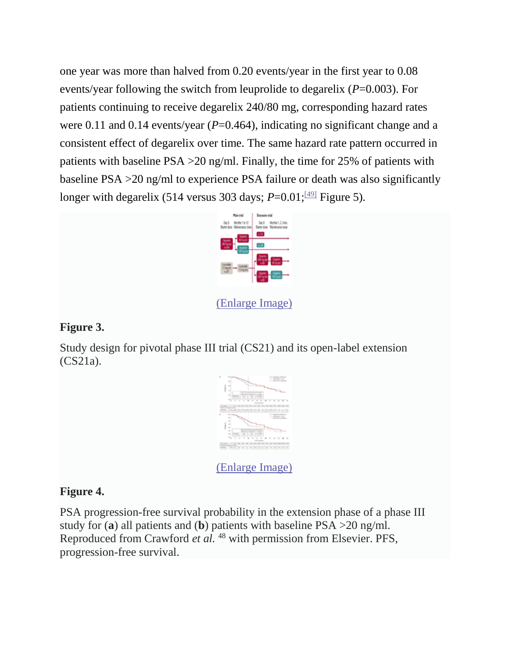one year was more than halved from 0.20 events/year in the first year to 0.08 events/year following the switch from leuprolide to degarelix (*P*=0.003). For patients continuing to receive degarelix 240/80 mg, corresponding hazard rates were 0.11 and 0.14 events/year (*P*=0.464), indicating no significant change and a consistent effect of degarelix over time. The same hazard rate pattern occurred in patients with baseline PSA >20 ng/ml. Finally, the time for 25% of patients with baseline PSA >20 ng/ml to experience PSA failure or death was also significantly longer with degarelix (514 versus 303 days;  $P=0.01$ ; <sup>[\[49\]](javascript:newshowcontent()</sup> Figure 5).



[\(Enlarge Image\)](javascript:newshowcontent()

## **Figure 3.**

Study design for pivotal phase III trial (CS21) and its open-label extension (CS21a).



[\(Enlarge Image\)](javascript:newshowcontent()

## **Figure 4.**

PSA progression-free survival probability in the extension phase of a phase III study for (**a**) all patients and (**b**) patients with baseline PSA >20 ng/ml. Reproduced from Crawford *et al.* <sup>48</sup> with permission from Elsevier. PFS, progression-free survival.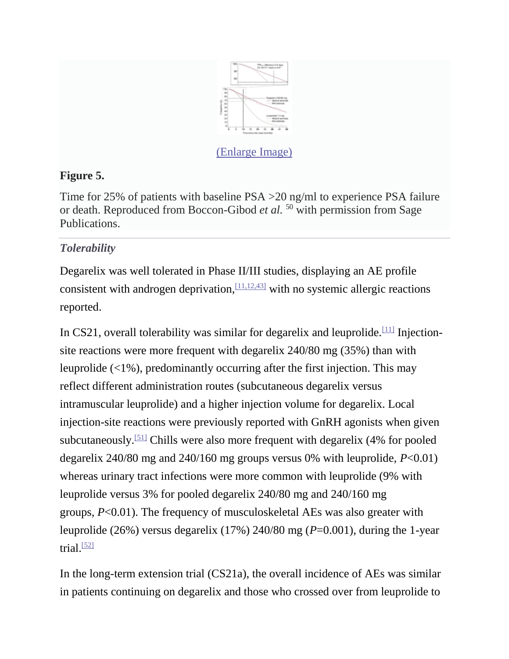

# **Figure 5.**

Time for 25% of patients with baseline PSA >20 ng/ml to experience PSA failure or death. Reproduced from Boccon-Gibod *et al.* <sup>50</sup> with permission from Sage Publications.

# *Tolerability*

Degarelix was well tolerated in Phase II/III studies, displaying an AE profile consistent with androgen deprivation,  $\frac{[11,12,43]}{]}$  $\frac{[11,12,43]}{]}$  $\frac{[11,12,43]}{]}$  with no systemic allergic reactions reported.

In CS21, overall tolerability was similar for degarelix and leuprolide.<sup>[\[11\]](javascript:newshowcontent()</sup> Injectionsite reactions were more frequent with degarelix 240/80 mg (35%) than with leuprolide (<1%), predominantly occurring after the first injection. This may reflect different administration routes (subcutaneous degarelix versus intramuscular leuprolide) and a higher injection volume for degarelix. Local injection-site reactions were previously reported with GnRH agonists when given subcutaneously.[\[51\]](javascript:newshowcontent() Chills were also more frequent with degarelix (4% for pooled degarelix 240/80 mg and 240/160 mg groups versus 0% with leuprolide, *P*<0.01) whereas urinary tract infections were more common with leuprolide (9% with leuprolide versus 3% for pooled degarelix 240/80 mg and 240/160 mg groups, *P*<0.01). The frequency of musculoskeletal AEs was also greater with leuprolide (26%) versus degarelix (17%) 240/80 mg (*P*=0.001), during the 1-year trial. $\frac{521}{2}$ 

In the long-term extension trial (CS21a), the overall incidence of AEs was similar in patients continuing on degarelix and those who crossed over from leuprolide to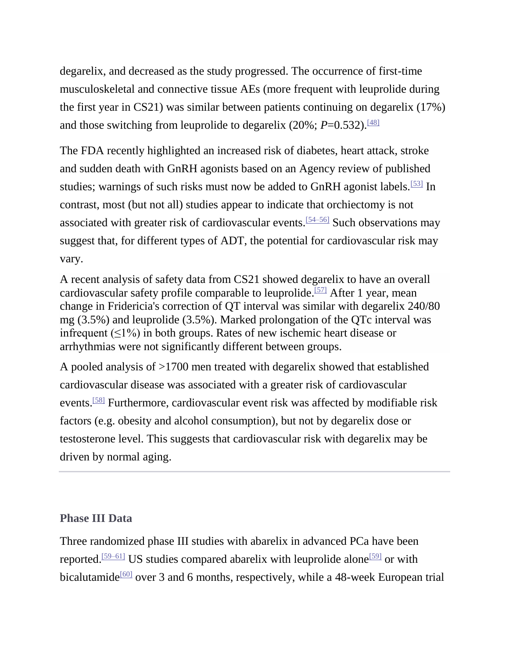degarelix, and decreased as the study progressed. The occurrence of first-time musculoskeletal and connective tissue AEs (more frequent with leuprolide during the first year in CS21) was similar between patients continuing on degarelix (17%) and those switching from leuprolide to degarelix (20%;  $P=0.532$ ).<sup>[\[48\]](javascript:newshowcontent()</sup>

The FDA recently highlighted an increased risk of diabetes, heart attack, stroke and sudden death with GnRH agonists based on an Agency review of published studies; warnings of such risks must now be added to GnRH agonist labels.<sup>[\[53\]](javascript:newshowcontent()</sup> In contrast, most (but not all) studies appear to indicate that orchiectomy is not associated with greater risk of cardiovascular events.[\[54–56\]](javascript:newshowcontent() Such observations may suggest that, for different types of ADT, the potential for cardiovascular risk may vary.

A recent analysis of safety data from CS21 showed degarelix to have an overall cardiovascular safety profile comparable to leuprolide.<sup>[\[57\]](javascript:newshowcontent()</sup> After 1 year, mean change in Fridericia's correction of QT interval was similar with degarelix 240/80 mg (3.5%) and leuprolide (3.5%). Marked prolongation of the QTc interval was infrequent  $(\leq 1\%)$  in both groups. Rates of new ischemic heart disease or arrhythmias were not significantly different between groups.

A pooled analysis of >1700 men treated with degarelix showed that established cardiovascular disease was associated with a greater risk of cardiovascular events.<sup>[\[58\]](javascript:newshowcontent()</sup> Furthermore, cardiovascular event risk was affected by modifiable risk factors (e.g. obesity and alcohol consumption), but not by degarelix dose or testosterone level. This suggests that cardiovascular risk with degarelix may be driven by normal aging.

### **Phase III Data**

Three randomized phase III studies with abarelix in advanced PCa have been reported.<sup>[\[59–61\]](javascript:newshowcontent()</sup> US studies compared abarelix with leuprolide alone<sup>[\[59\]](javascript:newshowcontent()</sup> or with bicalutamide<sup>[\[60\]](javascript:newshowcontent()</sup> over 3 and 6 months, respectively, while a 48-week European trial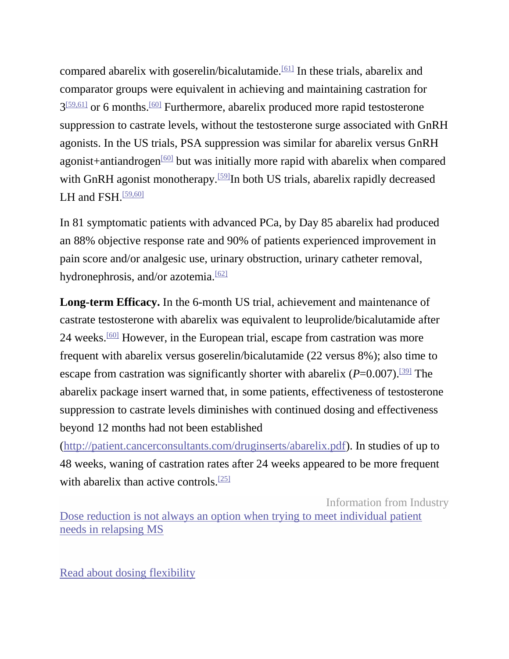compared abarelix with goserelin/bicalutamide.<sup>[\[61\]](javascript:newshowcontent()</sup> In these trials, abarelix and comparator groups were equivalent in achieving and maintaining castration for  $3^{59,61}$  or 6 months.<sup>[\[60\]](javascript:newshowcontent()</sup> Furthermore, abarelix produced more rapid testosterone suppression to castrate levels, without the testosterone surge associated with GnRH agonists. In the US trials, PSA suppression was similar for abarelix versus GnRH agonist+antiandrogen<sup>[\[60\]](javascript:newshowcontent()</sup> but was initially more rapid with abarelix when compared with GnRH agonist monotherapy.<sup>[\[59\]](javascript:newshowcontent()</sup>In both US trials, abarelix rapidly decreased LH and FSH $.59,601$ 

In 81 symptomatic patients with advanced PCa, by Day 85 abarelix had produced an 88% objective response rate and 90% of patients experienced improvement in pain score and/or analgesic use, urinary obstruction, urinary catheter removal, hydronephrosis, and/or azotemia. $\frac{62}{2}$ 

**Long-term Efficacy.** In the 6-month US trial, achievement and maintenance of castrate testosterone with abarelix was equivalent to leuprolide/bicalutamide after 24 weeks.[\[60\]](javascript:newshowcontent() However, in the European trial, escape from castration was more frequent with abarelix versus goserelin/bicalutamide (22 versus 8%); also time to escape from castration was significantly shorter with abarelix  $(P=0.007)$ .<sup>[\[39\]](javascript:newshowcontent()</sup> The abarelix package insert warned that, in some patients, effectiveness of testosterone suppression to castrate levels diminishes with continued dosing and effectiveness beyond 12 months had not been established

[\(http://patient.cancerconsultants.com/druginserts/abarelix.pdf\)](http://patient.cancerconsultants.com/druginserts/abarelix.pdf). In studies of up to 48 weeks, waning of castration rates after 24 weeks appeared to be more frequent with abarelix than active controls.<sup>[\[25\]](javascript:newshowcontent()</sup>

Information from Industry

[Dose reduction is not always an option when trying to meet individual patient](http://as.webmd.com/event.ng/Type=click&FlightID=453712&AdID=770332&TargetID=125826&Values=60,72,81,91,145,150,205,208,222,229,234,236,249,308,309,430,662,1469,1963,2019,2472,3175,3187,3361,3435,3438,6844,7187,13461,13842,13858,14125,14128,14130,15191,18257,20184,20448,20835,24345,25586,26513,31020,31795,31913,31922,41363,43128,49066,49544,53316,53875&Redirect=http:/www.medscape.com/infosite/rebif/article-3?src=ad_txt)  [needs in relapsing MS](http://as.webmd.com/event.ng/Type=click&FlightID=453712&AdID=770332&TargetID=125826&Values=60,72,81,91,145,150,205,208,222,229,234,236,249,308,309,430,662,1469,1963,2019,2472,3175,3187,3361,3435,3438,6844,7187,13461,13842,13858,14125,14128,14130,15191,18257,20184,20448,20835,24345,25586,26513,31020,31795,31913,31922,41363,43128,49066,49544,53316,53875&Redirect=http:/www.medscape.com/infosite/rebif/article-3?src=ad_txt)

[Read about dosing flexibility](http://as.webmd.com/event.ng/Type=click&FlightID=453712&AdID=770332&TargetID=125826&Values=60,72,81,91,145,150,205,208,222,229,234,236,249,308,309,430,662,1469,1963,2019,2472,3175,3187,3361,3435,3438,6844,7187,13461,13842,13858,14125,14128,14130,15191,18257,20184,20448,20835,24345,25586,26513,31020,31795,31913,31922,41363,43128,49066,49544,53316,53875&Redirect=http:/www.medscape.com/infosite/rebif/article-3?src=ad_txt)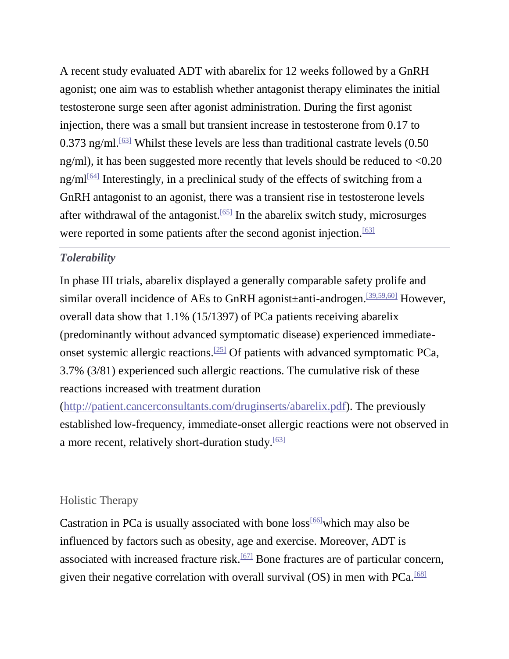A recent study evaluated ADT with abarelix for 12 weeks followed by a GnRH agonist; one aim was to establish whether antagonist therapy eliminates the initial testosterone surge seen after agonist administration. During the first agonist injection, there was a small but transient increase in testosterone from 0.17 to  $0.373$  ng/ml.<sup>[\[63\]](javascript:newshowcontent()</sup> Whilst these levels are less than traditional castrate levels  $(0.50)$ ng/ml), it has been suggested more recently that levels should be reduced to <0.20  $ng/ml^{64}$  Interestingly, in a preclinical study of the effects of switching from a GnRH antagonist to an agonist, there was a transient rise in testosterone levels after withdrawal of the antagonist.<sup>[\[65\]](javascript:newshowcontent()</sup> In the abarelix switch study, microsurges were reported in some patients after the second agonist injection.<sup>[\[63\]](javascript:newshowcontent()</sup>

### *Tolerability*

In phase III trials, abarelix displayed a generally comparable safety prolife and similar overall incidence of AEs to GnRH agonist±anti-androgen.[\[39,59,60\]](javascript:newshowcontent() However, overall data show that 1.1% (15/1397) of PCa patients receiving abarelix (predominantly without advanced symptomatic disease) experienced immediate-onset systemic allergic reactions.<sup>[\[25\]](javascript:newshowcontent()</sup> Of patients with advanced symptomatic PCa, 3.7% (3/81) experienced such allergic reactions. The cumulative risk of these reactions increased with treatment duration

[\(http://patient.cancerconsultants.com/druginserts/abarelix.pdf\)](http://patient.cancerconsultants.com/druginserts/abarelix.pdf). The previously established low-frequency, immediate-onset allergic reactions were not observed in a more recent, relatively short-duration study.<sup>[\[63\]](javascript:newshowcontent()</sup>

#### Holistic Therapy

Castration in PCa is usually associated with bone  $loss^{[66]}$  $loss^{[66]}$  $loss^{[66]}$  which may also be influenced by factors such as obesity, age and exercise. Moreover, ADT is associated with increased fracture risk.<sup>[\[67\]](javascript:newshowcontent()</sup> Bone fractures are of particular concern, given their negative correlation with overall survival  $(OS)$  in men with PCa.<sup>[\[68\]](javascript:newshowcontent()</sup>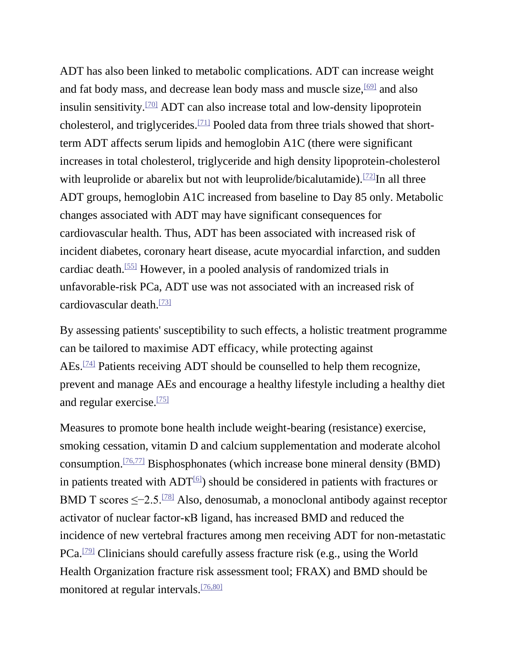ADT has also been linked to metabolic complications. ADT can increase weight and fat body mass, and decrease lean body mass and muscle size, <sup>[\[69\]](javascript:newshowcontent()</sup> and also insulin sensitivity.[\[70\]](javascript:newshowcontent() ADT can also increase total and low-density lipoprotein cholesterol, and triglycerides.[\[71\]](javascript:newshowcontent() Pooled data from three trials showed that shortterm ADT affects serum lipids and hemoglobin A1C (there were significant increases in total cholesterol, triglyceride and high density lipoprotein-cholesterol with leuprolide or abarelix but not with leuprolide/bicalutamide).<sup>[\[72\]](javascript:newshowcontent()</sup>In all three ADT groups, hemoglobin A1C increased from baseline to Day 85 only. Metabolic changes associated with ADT may have significant consequences for cardiovascular health. Thus, ADT has been associated with increased risk of incident diabetes, coronary heart disease, acute myocardial infarction, and sudden cardiac death.[\[55\]](javascript:newshowcontent() However, in a pooled analysis of randomized trials in unfavorable-risk PCa, ADT use was not associated with an increased risk of cardiovascular death. $\frac{[73]}{[73]}$  $\frac{[73]}{[73]}$  $\frac{[73]}{[73]}$ 

By assessing patients' susceptibility to such effects, a holistic treatment programme can be tailored to maximise ADT efficacy, while protecting against AEs.[\[74\]](javascript:newshowcontent() Patients receiving ADT should be counselled to help them recognize, prevent and manage AEs and encourage a healthy lifestyle including a healthy diet and regular exercise.[\[75\]](javascript:newshowcontent()

Measures to promote bone health include weight-bearing (resistance) exercise, smoking cessation, vitamin D and calcium supplementation and moderate alcohol consumption.<sup>[\[76,77\]](javascript:newshowcontent()</sup> Bisphosphonates (which increase bone mineral density (BMD) in patients treated with  $ADT^{[6]}$  $ADT^{[6]}$  $ADT^{[6]}$ ) should be considered in patients with fractures or BMD T scores ≤−2.5.<sup>[\[78\]](javascript:newshowcontent()</sup> Also, denosumab, a monoclonal antibody against receptor activator of nuclear factor-κB ligand, has increased BMD and reduced the incidence of new vertebral fractures among men receiving ADT for non-metastatic PCa.[\[79\]](javascript:newshowcontent() Clinicians should carefully assess fracture risk (e.g., using the World Health Organization fracture risk assessment tool; FRAX) and BMD should be monitored at regular intervals.<sup>[\[76,80\]](javascript:newshowcontent()</sup>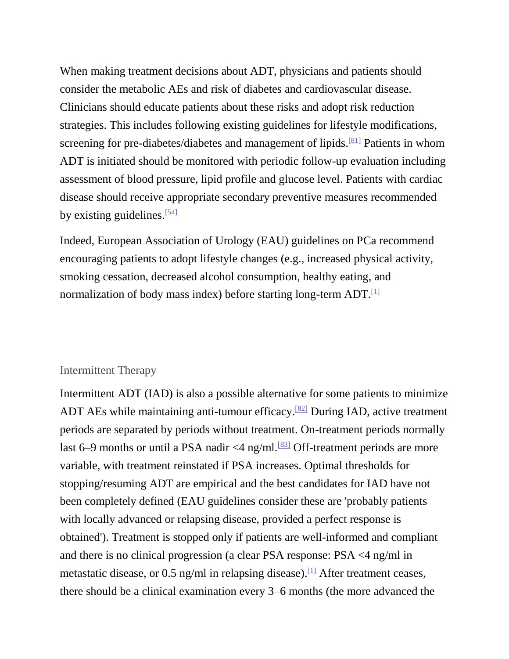When making treatment decisions about ADT, physicians and patients should consider the metabolic AEs and risk of diabetes and cardiovascular disease. Clinicians should educate patients about these risks and adopt risk reduction strategies. This includes following existing guidelines for lifestyle modifications, screening for pre-diabetes/diabetes and management of lipids.<sup>[\[81\]](javascript:newshowcontent()</sup> Patients in whom ADT is initiated should be monitored with periodic follow-up evaluation including assessment of blood pressure, lipid profile and glucose level. Patients with cardiac disease should receive appropriate secondary preventive measures recommended by existing guidelines. $[54]$ 

Indeed, European Association of Urology (EAU) guidelines on PCa recommend encouraging patients to adopt lifestyle changes (e.g., increased physical activity, smoking cessation, decreased alcohol consumption, healthy eating, and normalization of body mass index) before starting long-term  $ADT$ .<sup>[\[1\]](javascript:newshowcontent()</sup>

#### Intermittent Therapy

Intermittent ADT (IAD) is also a possible alternative for some patients to minimize ADT AEs while maintaining anti-tumour efficacy.[\[82\]](javascript:newshowcontent() During IAD, active treatment periods are separated by periods without treatment. On-treatment periods normally last 6–9 months or until a PSA nadir  $\leq$ 4 ng/ml.<sup>[\[83\]](javascript:newshowcontent()</sup> Off-treatment periods are more variable, with treatment reinstated if PSA increases. Optimal thresholds for stopping/resuming ADT are empirical and the best candidates for IAD have not been completely defined (EAU guidelines consider these are 'probably patients with locally advanced or relapsing disease, provided a perfect response is obtained'). Treatment is stopped only if patients are well-informed and compliant and there is no clinical progression (a clear PSA response: PSA <4 ng/ml in metastatic disease, or 0.5 ng/ml in relapsing disease).  $\Box$  After treatment ceases, there should be a clinical examination every 3–6 months (the more advanced the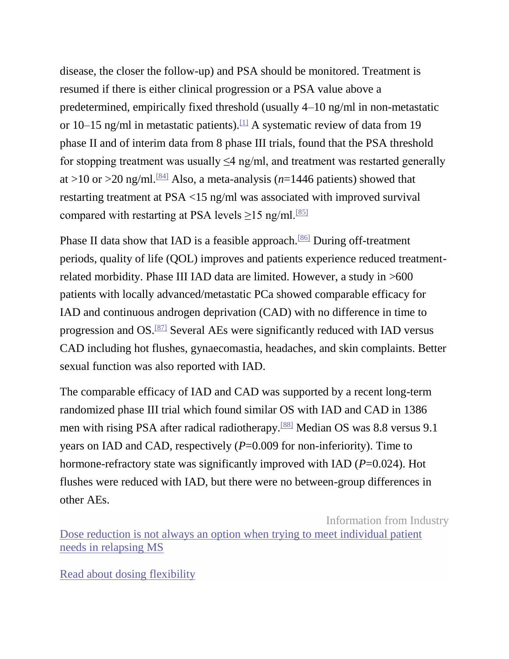disease, the closer the follow-up) and PSA should be monitored. Treatment is resumed if there is either clinical progression or a PSA value above a predetermined, empirically fixed threshold (usually 4–10 ng/ml in non-metastatic or 10–15 ng/ml in metastatic patients).<sup>[\[1\]](javascript:newshowcontent()</sup> A systematic review of data from 19 phase II and of interim data from 8 phase III trials, found that the PSA threshold for stopping treatment was usually  $\leq$ 4 ng/ml, and treatment was restarted generally at  $>10$  or  $>20$  ng/ml.<sup>[\[84\]](javascript:newshowcontent()</sup> Also, a meta-analysis ( $n=1446$  patients) showed that restarting treatment at PSA <15 ng/ml was associated with improved survival compared with restarting at PSA levels  $\geq$ 15 ng/ml.<sup>[\[85\]](javascript:newshowcontent()</sup>

Phase II data show that IAD is a feasible approach.<sup>[\[86\]](javascript:newshowcontent()</sup> During off-treatment periods, quality of life (QOL) improves and patients experience reduced treatmentrelated morbidity. Phase III IAD data are limited. However, a study in >600 patients with locally advanced/metastatic PCa showed comparable efficacy for IAD and continuous androgen deprivation (CAD) with no difference in time to progression and OS.[\[87\]](javascript:newshowcontent() Several AEs were significantly reduced with IAD versus CAD including hot flushes, gynaecomastia, headaches, and skin complaints. Better sexual function was also reported with IAD.

The comparable efficacy of IAD and CAD was supported by a recent long-term randomized phase III trial which found similar OS with IAD and CAD in 1386 men with rising PSA after radical radiotherapy.<sup>[\[88\]](javascript:newshowcontent()</sup> Median OS was 8.8 versus 9.1 years on IAD and CAD, respectively (*P*=0.009 for non-inferiority). Time to hormone-refractory state was significantly improved with IAD (*P*=0.024). Hot flushes were reduced with IAD, but there were no between-group differences in other AEs.

Information from Industry [Dose reduction is not always an option when trying to meet individual patient](http://as.webmd.com/event.ng/Type=click&FlightID=453712&AdID=770332&TargetID=125826&Values=60,72,81,91,145,150,205,208,222,229,234,236,249,308,309,430,662,1469,1963,2019,2472,3175,3187,3361,3435,3438,6844,7187,13461,13842,13858,14125,14128,14130,15191,18257,20184,20448,20835,24345,25586,26513,31020,31795,31913,31922,41363,43128,49066,49544,53316,53875&Redirect=http:/www.medscape.com/infosite/rebif/article-3?src=ad_txt)  [needs in relapsing MS](http://as.webmd.com/event.ng/Type=click&FlightID=453712&AdID=770332&TargetID=125826&Values=60,72,81,91,145,150,205,208,222,229,234,236,249,308,309,430,662,1469,1963,2019,2472,3175,3187,3361,3435,3438,6844,7187,13461,13842,13858,14125,14128,14130,15191,18257,20184,20448,20835,24345,25586,26513,31020,31795,31913,31922,41363,43128,49066,49544,53316,53875&Redirect=http:/www.medscape.com/infosite/rebif/article-3?src=ad_txt)

[Read about dosing](http://as.webmd.com/event.ng/Type=click&FlightID=453712&AdID=770332&TargetID=125826&Values=60,72,81,91,145,150,205,208,222,229,234,236,249,308,309,430,662,1469,1963,2019,2472,3175,3187,3361,3435,3438,6844,7187,13461,13842,13858,14125,14128,14130,15191,18257,20184,20448,20835,24345,25586,26513,31020,31795,31913,31922,41363,43128,49066,49544,53316,53875&Redirect=http:/www.medscape.com/infosite/rebif/article-3?src=ad_txt) flexibility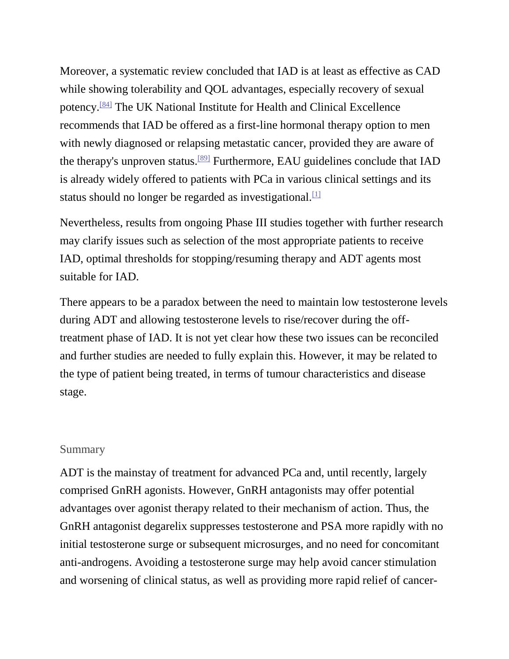Moreover, a systematic review concluded that IAD is at least as effective as CAD while showing tolerability and QOL advantages, especially recovery of sexual potency.[\[84\]](javascript:newshowcontent() The UK National Institute for Health and Clinical Excellence recommends that IAD be offered as a first-line hormonal therapy option to men with newly diagnosed or relapsing metastatic cancer, provided they are aware of the therapy's unproven status.[\[89\]](javascript:newshowcontent() Furthermore, EAU guidelines conclude that IAD is already widely offered to patients with PCa in various clinical settings and its status should no longer be regarded as investigational.  $[1]$ 

Nevertheless, results from ongoing Phase III studies together with further research may clarify issues such as selection of the most appropriate patients to receive IAD, optimal thresholds for stopping/resuming therapy and ADT agents most suitable for IAD.

There appears to be a paradox between the need to maintain low testosterone levels during ADT and allowing testosterone levels to rise/recover during the offtreatment phase of IAD. It is not yet clear how these two issues can be reconciled and further studies are needed to fully explain this. However, it may be related to the type of patient being treated, in terms of tumour characteristics and disease stage.

#### **Summary**

ADT is the mainstay of treatment for advanced PCa and, until recently, largely comprised GnRH agonists. However, GnRH antagonists may offer potential advantages over agonist therapy related to their mechanism of action. Thus, the GnRH antagonist degarelix suppresses testosterone and PSA more rapidly with no initial testosterone surge or subsequent microsurges, and no need for concomitant anti-androgens. Avoiding a testosterone surge may help avoid cancer stimulation and worsening of clinical status, as well as providing more rapid relief of cancer-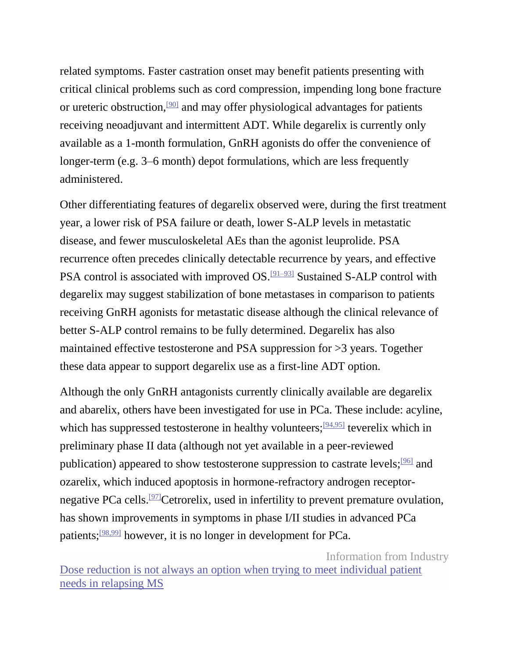related symptoms. Faster castration onset may benefit patients presenting with critical clinical problems such as cord compression, impending long bone fracture or ureteric obstruction,  $\frac{900}{901}$  and may offer physiological advantages for patients receiving neoadjuvant and intermittent ADT. While degarelix is currently only available as a 1-month formulation, GnRH agonists do offer the convenience of longer-term (e.g. 3–6 month) depot formulations, which are less frequently administered.

Other differentiating features of degarelix observed were, during the first treatment year, a lower risk of PSA failure or death, lower S-ALP levels in metastatic disease, and fewer musculoskeletal AEs than the agonist leuprolide. PSA recurrence often precedes clinically detectable recurrence by years, and effective PSA control is associated with improved OS.<sup>[\[91–93\]](javascript:newshowcontent()</sup> Sustained S-ALP control with degarelix may suggest stabilization of bone metastases in comparison to patients receiving GnRH agonists for metastatic disease although the clinical relevance of better S-ALP control remains to be fully determined. Degarelix has also maintained effective testosterone and PSA suppression for >3 years. Together these data appear to support degarelix use as a first-line ADT option.

Although the only GnRH antagonists currently clinically available are degarelix and abarelix, others have been investigated for use in PCa. These include: acyline, which has suppressed testosterone in healthy volunteers; <sup>[\[94,95\]](javascript:newshowcontent()</sup> teverelix which in preliminary phase II data (although not yet available in a peer-reviewed publication) appeared to show testosterone suppression to castrate levels;[\[96\]](javascript:newshowcontent() and ozarelix, which induced apoptosis in hormone-refractory androgen receptor-negative PCa cells.<sup>[\[97\]](javascript:newshowcontent()</sup>Cetrorelix, used in infertility to prevent premature ovulation, has shown improvements in symptoms in phase I/II studies in advanced PCa patients;[\[98,99\]](javascript:newshowcontent() however, it is no longer in development for PCa.

Information from Industry [Dose reduction is not always an option when trying to meet individual patient](http://as.webmd.com/event.ng/Type=click&FlightID=453712&AdID=770332&TargetID=125826&Values=60,72,81,91,145,150,205,208,222,229,234,236,249,308,309,430,662,1469,1963,2019,2472,3175,3187,3361,3435,3438,6844,7187,13461,13842,13858,14125,14128,14130,15191,18257,20184,20448,20835,24345,25586,26513,31020,31795,31913,31922,41363,43128,49066,49544,53316,53875&Redirect=http:/www.medscape.com/infosite/rebif/article-3?src=ad_txt)  [needs in relapsing MS](http://as.webmd.com/event.ng/Type=click&FlightID=453712&AdID=770332&TargetID=125826&Values=60,72,81,91,145,150,205,208,222,229,234,236,249,308,309,430,662,1469,1963,2019,2472,3175,3187,3361,3435,3438,6844,7187,13461,13842,13858,14125,14128,14130,15191,18257,20184,20448,20835,24345,25586,26513,31020,31795,31913,31922,41363,43128,49066,49544,53316,53875&Redirect=http:/www.medscape.com/infosite/rebif/article-3?src=ad_txt)